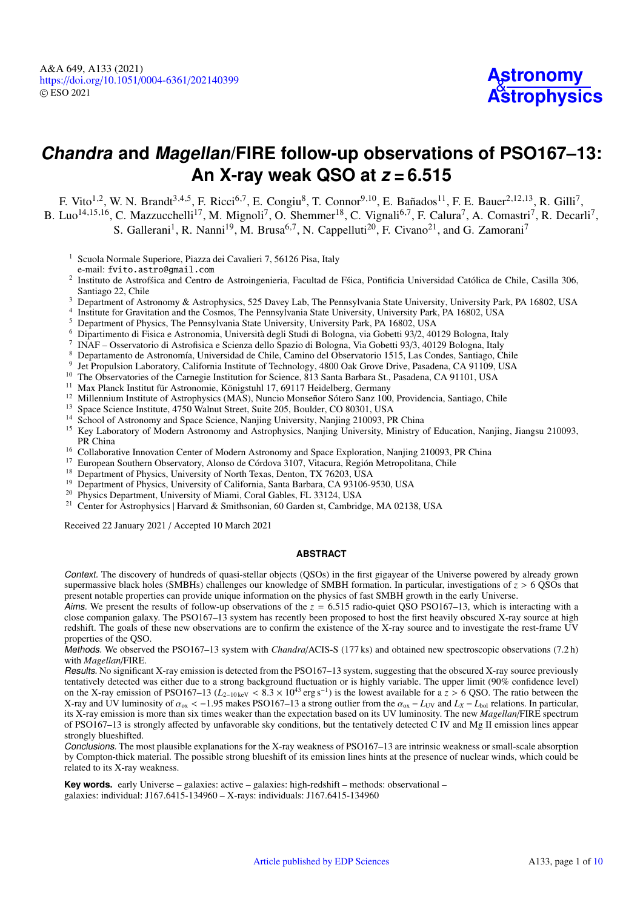# **Chandra and Magellan/FIRE follow-up observations of PSO167–13: An X-ray weak QSO at z = 6.515**

F. Vito<sup>[1](#page-0-0)[,2](#page-0-1)</sup>, W. N. Brandt<sup>[3](#page-0-2)[,4](#page-0-3)[,5](#page-0-4)</sup>, F. Ricci<sup>[6](#page-0-5)[,7](#page-0-6)</sup>, E. Congiu<sup>[8](#page-0-7)</sup>, T. Connor<sup>[9](#page-0-8)[,10](#page-0-9)</sup>, E. Bañados<sup>[11](#page-0-10)</sup>, F. E. Bauer<sup>[2](#page-0-1)[,12](#page-0-11)[,13](#page-0-12)</sup>, R. Gilli<sup>[7](#page-0-6)</sup>, B. Luo<sup>[14](#page-0-13)[,15](#page-0-14)[,16](#page-0-15)</sup>, C. Mazzucchelli<sup>[17](#page-0-16)</sup>, M. Mignoli<sup>[7](#page-0-6)</sup>, O. Shemmer<sup>[18](#page-0-17)</sup>, C. Vignali<sup>[6](#page-0-5)[,7](#page-0-6)</sup>, F. Calura<sup>7</sup>, A. Comastri<sup>7</sup>, R. Decarli<sup>7</sup>,

S. Gallerani<sup>[1](#page-0-0)</sup>, R. Nanni<sup>[19](#page-0-18)</sup>, M. Brusa<sup>[6](#page-0-5)[,7](#page-0-6)</sup>, N. Cappelluti<sup>[20](#page-0-19)</sup>, F. Civano<sup>[21](#page-0-20)</sup>, and G. Zamorani<sup>[7](#page-0-6)</sup>

<span id="page-0-0"></span><sup>1</sup> Scuola Normale Superiore, Piazza dei Cavalieri 7, 56126 Pisa, Italy

e-mail: fvito.astro@gmail.com

- <span id="page-0-1"></span>2 Instituto de Astrofísca and Centro de Astroingenieria, Facultad de Física, Pontificia Universidad Católica de Chile, Casilla 306, Santiago 22, Chile
- <span id="page-0-2"></span><sup>3</sup> Department of Astronomy & Astrophysics, 525 Davey Lab, The Pennsylvania State University, University Park, PA 16802, USA
- <span id="page-0-3"></span>4 Institute for Gravitation and the Cosmos, The Pennsylvania State University, University Park, PA 16802, USA
- <span id="page-0-4"></span><sup>5</sup> Department of Physics, The Pennsylvania State University, University Park, PA 16802, USA
- <span id="page-0-5"></span><sup>6</sup> Dipartimento di Fisica e Astronomia, Università degli Studi di Bologna, via Gobetti 93/2, 40129 Bologna, Italy
- 7 INAF – Osservatorio di Astrofisica e Scienza dello Spazio di Bologna, Via Gobetti 93/3, 40129 Bologna, Italy
- <span id="page-0-8"></span><span id="page-0-7"></span><span id="page-0-6"></span><sup>8</sup> Departamento de Astronomía, Universidad de Chile, Camino del Observatorio 1515, Las Condes, Santiago, Chile
- 9 Jet Propulsion Laboratory, California Institute of Technology, 4800 Oak Grove Drive, Pasadena, CA 91109, USA
- <span id="page-0-9"></span><sup>10</sup> The Observatories of the Carnegie Institution for Science, 813 Santa Barbara St., Pasadena, CA 91101, USA
- <span id="page-0-10"></span><sup>11</sup> Max Planck Institut für Astronomie, Königstuhl 17, 69117 Heidelberg, Germany
- <span id="page-0-11"></span><sup>12</sup> Millennium Institute of Astrophysics (MAS), Nuncio Monseñor Sótero Sanz 100, Providencia, Santiago, Chile
- <span id="page-0-12"></span><sup>13</sup> Space Science Institute, 4750 Walnut Street, Suite 205, Boulder, CO 80301, USA
- <span id="page-0-13"></span><sup>14</sup> School of Astronomy and Space Science, Nanjing University, Nanjing 210093, PR China
- <span id="page-0-14"></span><sup>15</sup> Key Laboratory of Modern Astronomy and Astrophysics, Nanjing University, Ministry of Education, Nanjing, Jiangsu 210093, PR China
- <span id="page-0-15"></span><sup>16</sup> Collaborative Innovation Center of Modern Astronomy and Space Exploration, Nanjing 210093, PR China<br><sup>17</sup> Eugeneen Southern Observatory, Algres de Céndeus 2107, Vitaure, Boaién Matropolitane Chile
- <span id="page-0-16"></span><sup>17</sup> European Southern Observatory, Alonso de Córdova 3107, Vitacura, Región Metropolitana, Chile<br><sup>18</sup> Department of Physics, University of North Texas, Depton, TX 76203, USA
- <span id="page-0-17"></span>Department of Physics, University of North Texas, Denton, TX 76203, USA
- <span id="page-0-18"></span><sup>19</sup> Department of Physics, University of California, Santa Barbara, CA 93106-9530, USA
- <span id="page-0-19"></span><sup>20</sup> Physics Department, University of Miami, Coral Gables, FL 33124, USA
- <span id="page-0-20"></span><sup>21</sup> Center for Astrophysics | Harvard & Smithsonian, 60 Garden st, Cambridge, MA 02138, USA

Received 22 January 2021 / Accepted 10 March 2021

#### **ABSTRACT**

Context. The discovery of hundreds of quasi-stellar objects (QSOs) in the first gigayear of the Universe powered by already grown supermassive black holes (SMBHs) challenges our knowledge of SMBH formation. In particular, investigations of  $\zeta > 6$  QSOs that present notable properties can provide unique information on the physics of fast SMBH growth in the early Universe.

Aims. We present the results of follow-up observations of the  $z = 6.515$  radio-quiet QSO PSO167–13, which is interacting with a close companion galaxy. The PSO167–13 system has recently been proposed to host the first heavily obscured X-ray source at high redshift. The goals of these new observations are to confirm the existence of the X-ray source and to investigate the rest-frame UV properties of the QSO.

Methods. We observed the PSO167–13 system with *Chandra*/ACIS-S (177 ks) and obtained new spectroscopic observations (7.2 h) with *Magellan*/FIRE.

Results. No significant X-ray emission is detected from the PSO167–13 system, suggesting that the obscured X-ray source previously tentatively detected was either due to a strong background fluctuation or is highly variable. The upper limit (90% confidence level) on the X-ray emission of PSO167–13 ( $L_{2-10 \text{ keV}} < 8.3 \times 10^{43}$  erg s<sup>-1</sup>) is the lowest available for a  $z > 6$  QSO. The ratio between the ) is the lowest available for a *z* > 6 QSO. The ratio between the  $\alpha_{xx} = I_{xy}$  and  $I_y = I_{xy}$  relations. In particular X-ray and UV luminosity of  $\alpha_{ox} < -1.95$  makes PSO167–13 a strong outlier from the  $\alpha_{ox} - L_{UV}$  and  $L_X - L_{bol}$  relations. In particular,  $\alpha_{ox} < -1.95$  makes PSO167–13 a strong outlier from the  $\alpha_{ox} - L_{UV}$  and  $L_X - L_{bol}$  re its X-ray emission is more than six times weaker than the expectation based on its UV luminosity. The new *Magellan*/FIRE spectrum of PSO167–13 is strongly affected by unfavorable sky conditions, but the tentatively detected  $\overrightarrow{C}$  IV and Mg II emission lines appear strongly blueshifted.

Conclusions. The most plausible explanations for the X-ray weakness of PSO167–13 are intrinsic weakness or small-scale absorption by Compton-thick material. The possible strong blueshift of its emission lines hints at the presence of nuclear winds, which could be related to its X-ray weakness.

**Key words.** early Universe – galaxies: active – galaxies: high-redshift – methods: observational – galaxies: individual: J167.6415-134960 – X-rays: individuals: J167.6415-134960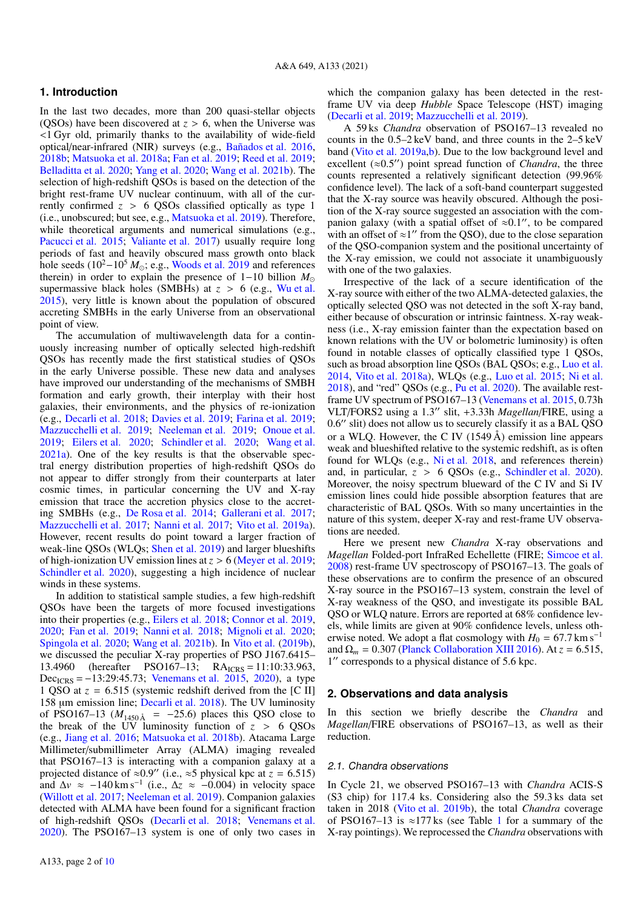# **1. Introduction**

In the last two decades, more than 200 quasi-stellar objects (QSOs) have been discovered at  $z > 6$ , when the Universe was <1 Gyr old, primarily thanks to the availability of wide-field optical/near-infrared (NIR) surveys (e.g., [Bañados et al.](#page-8-0) [2016,](#page-8-0) [2018b;](#page-8-1) [Matsuoka et al.](#page-9-1) [2018a;](#page-9-1) [Fan et al.](#page-9-2) [2019;](#page-9-2) [Reed et al.](#page-9-3) [2019;](#page-9-3) [Belladitta et al.](#page-8-2) [2020;](#page-8-2) [Yang et al.](#page-9-4) [2020;](#page-9-4) [Wang et al.](#page-9-5) [2021b\)](#page-9-5). The selection of high-redshift QSOs is based on the detection of the bright rest-frame UV nuclear continuum, with all of the currently confirmed  $z > 6$  QSOs classified optically as type 1 (i.e., unobscured; but see, e.g., [Matsuoka et al.](#page-9-6) [2019\)](#page-9-6). Therefore, while theoretical arguments and numerical simulations (e.g., [Pacucci et al.](#page-9-7) [2015;](#page-9-7) [Valiante et al.](#page-9-8) [2017\)](#page-9-8) usually require long periods of fast and heavily obscured mass growth onto black hole seeds (10<sup>2</sup>-10<sup>5</sup> *M*<sub>☉</sub>; e.g., [Woods et al.](#page-9-9) [2019](#page-9-9) and references therein) in order to explain the presence of 1−10 billion *M* supermassive black holes (SMBHs) at  $z > 6$  (e.g., [Wu et al.](#page-9-10) [2015\)](#page-9-10), very little is known about the population of obscured accreting SMBHs in the early Universe from an observational point of view.

The accumulation of multiwavelength data for a continuously increasing number of optically selected high-redshift QSOs has recently made the first statistical studies of QSOs in the early Universe possible. These new data and analyses have improved our understanding of the mechanisms of SMBH formation and early growth, their interplay with their host galaxies, their environments, and the physics of re-ionization (e.g., [Decarli et al.](#page-9-11) [2018;](#page-9-11) [Davies et al.](#page-9-12) [2019;](#page-9-12) [Farina et al.](#page-9-13) [2019;](#page-9-13) [Mazzucchelli et al.](#page-9-14) [2019;](#page-9-14) [Neeleman et al.](#page-9-15) [2019;](#page-9-15) [Onoue et al.](#page-9-16) [2019;](#page-9-16) [Eilers et al.](#page-9-17) [2020;](#page-9-17) [Schindler et al.](#page-9-18) [2020;](#page-9-18) [Wang et al.](#page-9-19) [2021a\)](#page-9-19). One of the key results is that the observable spectral energy distribution properties of high-redshift QSOs do not appear to differ strongly from their counterparts at later cosmic times, in particular concerning the UV and X-ray emission that trace the accretion physics close to the accreting SMBHs (e.g., [De Rosa et al.](#page-9-20) [2014;](#page-9-20) [Gallerani et al.](#page-9-21) [2017;](#page-9-21) [Mazzucchelli et al.](#page-9-22) [2017;](#page-9-22) [Nanni et al.](#page-9-23) [2017;](#page-9-23) [Vito et al.](#page-9-24) [2019a\)](#page-9-24). However, recent results do point toward a larger fraction of weak-line QSOs (WLQs; [Shen et al.](#page-9-25) [2019\)](#page-9-25) and larger blueshifts of high-ionization UV emission lines at *<sup>z</sup>* > 6 [\(Meyer et al.](#page-9-26) [2019;](#page-9-26) [Schindler et al.](#page-9-18) [2020\)](#page-9-18), suggesting a high incidence of nuclear winds in these systems.

In addition to statistical sample studies, a few high-redshift QSOs have been the targets of more focused investigations into their properties (e.g., [Eilers et al.](#page-9-27) [2018;](#page-9-27) [Connor et al.](#page-9-28) [2019,](#page-9-28) [2020;](#page-9-29) [Fan et al.](#page-9-2) [2019;](#page-9-2) [Nanni et al.](#page-9-30) [2018;](#page-9-30) [Mignoli et al.](#page-9-31) [2020;](#page-9-31) [Spingola et al.](#page-9-32) [2020;](#page-9-32) [Wang et al.](#page-9-5) [2021b\)](#page-9-5). In [Vito et al.](#page-9-33) [\(2019b\)](#page-9-33), we discussed the peculiar X-ray properties of PSO J167.6415– 13.4960 (hereafter PSO167-13; RA<sub>ICRS</sub> = 11:10:33.963,  $Dec_{ICRS} = -13:29:45.73$ ; [Venemans et al.](#page-9-34) [2015,](#page-9-34) [2020\)](#page-9-35), a type 1 QSO at  $z = 6.515$  (systemic redshift derived from the [C II] 158 µm emission line; [Decarli et al.](#page-9-11) [2018\)](#page-9-11). The UV luminosity of PSO167–13 ( $M_{1450 \text{ Å}}$  = −25.6) places this QSO close to the break of the UV luminosity function of  $z > 6$  QSOs (e.g., [Jiang et al.](#page-9-36) [2016;](#page-9-36) [Matsuoka et al.](#page-9-37) [2018b\)](#page-9-37). Atacama Large Millimeter/submillimeter Array (ALMA) imaging revealed that PSO167–13 is interacting with a companion galaxy at a projected distance of  $\approx 0.9$ " (i.e.,  $\approx 5$  physical kpc at  $z = 6.515$ )<br>and  $\Delta v \approx -140 \text{ km s}^{-1}$  (i.e.  $\Delta z \approx -0.004$ ) in velocity space and Δ*v* ≈ −140 km s<sup>-1</sup> (i.e., Δz ≈ −0.004) in velocity space<br>(Willott et al. 2017: Neeleman et al. 2019). Companion galaxies [\(Willott et al.](#page-9-38) [2017;](#page-9-38) [Neeleman et al.](#page-9-15) [2019\)](#page-9-15). Companion galaxies detected with ALMA have been found for a significant fraction of high-redshift QSOs [\(Decarli et al.](#page-9-11) [2018;](#page-9-11) [Venemans et al.](#page-9-35) [2020\)](#page-9-35). The PSO167–13 system is one of only two cases in which the companion galaxy has been detected in the restframe UV via deep *Hubble* Space Telescope (HST) imaging [\(Decarli et al.](#page-9-39) [2019;](#page-9-39) [Mazzucchelli et al.](#page-9-14) [2019\)](#page-9-14).

A 59 ks *Chandra* observation of PSO167–13 revealed no counts in the 0.5–2 keV band, and three counts in the 2–5 keV band [\(Vito et al.](#page-9-24) [2019a,](#page-9-24)[b\)](#page-9-33). Due to the low background level and excellent ( $\approx 0.5$ ") point spread function of *Chandra*, the three counts represented a relatively significant detection (99.96%) counts represented a relatively significant detection (99.96% confidence level). The lack of a soft-band counterpart suggested that the X-ray source was heavily obscured. Although the position of the X-ray source suggested an association with the companion galaxy (with a spatial offset of  $\approx 0.1$ ", to be compared with an offset of  $\approx 1$ " from the OSO) due to the close separation with an offset of  $\approx$ 1" from the QSO), due to the close separation of the QSO-companion system and the positional uncertainty of the X-ray emission, we could not associate it unambiguously with one of the two galaxies.

Irrespective of the lack of a secure identification of the X-ray source with either of the two ALMA-detected galaxies, the optically selected QSO was not detected in the soft X-ray band, either because of obscuration or intrinsic faintness. X-ray weakness (i.e., X-ray emission fainter than the expectation based on known relations with the UV or bolometric luminosity) is often found in notable classes of optically classified type 1 QSOs, such as broad absorption line QSOs (BAL QSOs; e.g., [Luo et al.](#page-9-40) [2014,](#page-9-40) [Vito et al.](#page-9-41) [2018a\)](#page-9-41), WLQs (e.g., [Luo et al.](#page-9-42) [2015;](#page-9-42) [Ni et al.](#page-9-43) [2018\)](#page-9-43), and "red" QSOs (e.g., [Pu et al.](#page-9-44) [2020\)](#page-9-44). The available restframe UV spectrum of PSO167–13 [\(Venemans et al.](#page-9-34) [2015,](#page-9-34) 0.73h VLT/FORS2 using a 1.3" slit, +3.33h *Magellan*/FIRE, using a<br>0.6" slit) does not allow us to securely classify it as a BAL OSO 0.6" slit) does not allow us to securely classify it as a BAL QSO or a WI O. However, the C IV  $(1549 \text{ Å})$  emission line appears or a WLQ. However, the C IV  $(1549 \text{ Å})$  emission line appears weak and blueshifted relative to the systemic redshift, as is often found for WLQs (e.g., [Ni et al.](#page-9-43) [2018,](#page-9-43) and references therein) and, in particular, *<sup>z</sup>* > 6 QSOs (e.g., [Schindler et al.](#page-9-18) [2020\)](#page-9-18). Moreover, the noisy spectrum blueward of the C IV and Si IV emission lines could hide possible absorption features that are characteristic of BAL QSOs. With so many uncertainties in the nature of this system, deeper X-ray and rest-frame UV observations are needed.

Here we present new *Chandra* X-ray observations and *Magellan* Folded-port InfraRed Echellette (FIRE; [Simcoe et al.](#page-9-45) [2008\)](#page-9-45) rest-frame UV spectroscopy of PSO167–13. The goals of these observations are to confirm the presence of an obscured X-ray source in the PSO167–13 system, constrain the level of X-ray weakness of the QSO, and investigate its possible BAL QSO or WLQ nature. Errors are reported at 68% confidence levels, while limits are given at 90% confidence levels, unless otherwise noted. We adopt a flat cosmology with  $H_0 = 67.7 \text{ km s}^{-1}$ and  $\Omega_m = 0.307$  [\(Planck Collaboration XIII](#page-9-46) [2016\)](#page-9-46). At  $z = 6.515$ , 1" corresponds to a physical distance of 5.6 kpc.

# **2. Observations and data analysis**

In this section we briefly describe the *Chandra* and *Magellan*/FIRE observations of PSO167–13, as well as their reduction.

#### 2.1. Chandra observations

In Cycle 21, we observed PSO167–13 with *Chandra* ACIS-S (S3 chip) for 117.4 ks. Considering also the 59.3 ks data set taken in 2018 [\(Vito et al.](#page-9-33) [2019b\)](#page-9-33), the total *Chandra* coverage of PSO[1](#page-2-0)67–13 is ≈177 ks (see Table 1 for a summary of the X-ray pointings). We reprocessed the *Chandra* observations with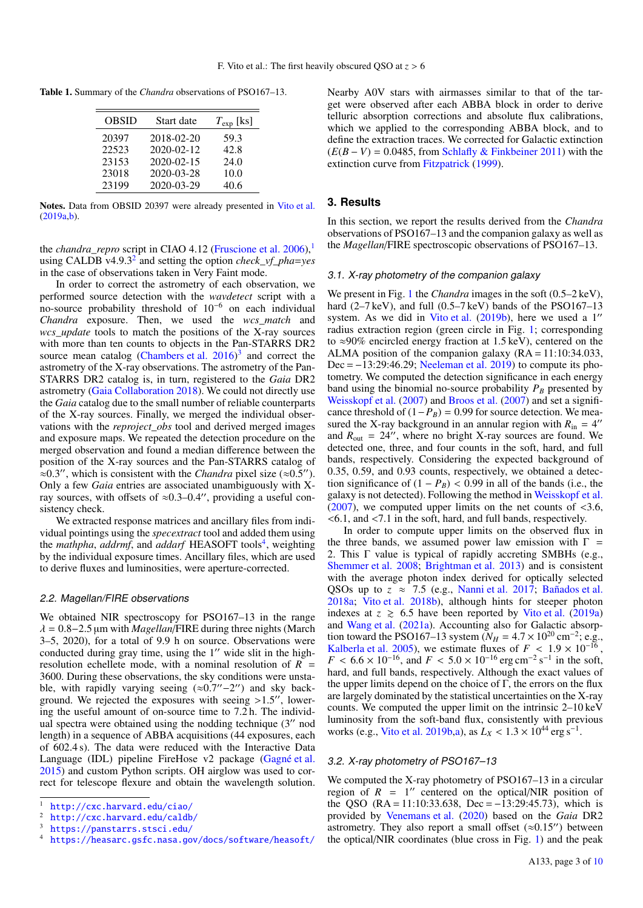Table 1. Summary of the *Chandra* observations of PSO167–13.

<span id="page-2-0"></span>

| <b>OBSID</b> | Start date       | $T_{\rm exp}$ [ks] |
|--------------|------------------|--------------------|
| 20397        | 2018-02-20       | 59.3               |
| 22523        | $2020 - 02 - 12$ | 42.8               |
| 23153        | $2020 - 02 - 15$ | 24.0               |
| 23018        | 2020-03-28       | 10.0               |
| 23199        | 2020-03-29       | 40.6               |

Notes. Data from OBSID 20397 were already presented in [Vito et al.](#page-9-24) [\(2019a,](#page-9-24)[b\)](#page-9-33).

the *chandra\_repro* script in CIAO 4.12 [\(Fruscione et al.](#page-9-47) [2006\)](#page-9-47),<sup>[1](#page-2-1)</sup> using CALDB v4.9.3[2](#page-2-2) and setting the option *check\_vf\_pha*=*yes* in the case of observations taken in Very Faint mode.

In order to correct the astrometry of each observation, we performed source detection with the *wavdetect* script with a no-source probability threshold of 10−<sup>6</sup> on each individual *Chandra* exposure. Then, we used the *wcs\_match* and *wcs\_update* tools to match the positions of the X-ray sources with more than ten counts to objects in the Pan-STARRS DR2 source mean catalog [\(Chambers et al.](#page-9-48)  $2016$ )<sup>[3](#page-2-3)</sup> and correct the astrometry of the X-ray observations. The astrometry of the Pan-STARRS DR2 catalog is, in turn, registered to the *Gaia* DR2 astrometry [\(Gaia Collaboration](#page-9-49) [2018\)](#page-9-49). We could not directly use the *Gaia* catalog due to the small number of reliable counterparts of the X-ray sources. Finally, we merged the individual observations with the *reproject\_obs* tool and derived merged images and exposure maps. We repeated the detection procedure on the merged observation and found a median difference between the position of the X-ray sources and the Pan-STARRS catalog of ≈0.3", which is consistent with the *Chandra* pixel size (≈0.5").<br>Only a few *Gaia* entries are associated unambiguously with X-Only a few *Gaia* entries are associated unambiguously with Xray sources, with offsets of  $\approx 0.3-0.4$ ", providing a useful consistency check.

We extracted response matrices and ancillary files from individual pointings using the *specextract* tool and added them using the *mathpha*, *addrmf*, and *addarf* HEASOFT tools<sup>[4](#page-2-4)</sup>, weighting by the individual exposure times. Ancillary files, which are used to derive fluxes and luminosities, were aperture-corrected.

#### 2.2. Magellan/FIRE observations

We obtained NIR spectroscopy for PSO167–13 in the range  $\lambda = 0.8 - 2.5$  µm with *Magellan*/FIRE during three nights (March 3–5, 2020), for a total of 9.9 h on source. Observations were conducted during gray time, using the 1" wide slit in the highresolution echellete mode, with a nominal resolution of  $R =$ 3600. During these observations, the sky conditions were unstable, with rapidly varying seeing  $(\approx 0.7'' - 2'')$  and sky back-<br>pround We rejected the exposures with seeing >1.5" lowerground. We rejected the exposures with seeing  $>1.5$ ", lower-<br>ing the useful amount of on-source time to 7.2 h. The individing the useful amount of on-source time to 7.2 h. The individual spectra were obtained using the nodding technique  $(3<sup>′</sup>$  nod length) in a sequence of ABBA acquisitions (44 exposures, each of 602.4 s). The data were reduced with the Interactive Data Language (IDL) pipeline FireHose v2 package [\(Gagné et al.](#page-9-50) [2015\)](#page-9-50) and custom Python scripts. OH airglow was used to correct for telescope flexure and obtain the wavelength solution. Nearby A0V stars with airmasses similar to that of the target were observed after each ABBA block in order to derive telluric absorption corrections and absolute flux calibrations, which we applied to the corresponding ABBA block, and to define the extraction traces. We corrected for Galactic extinction  $(E(B - V) = 0.0485$ , from [Schlafly & Finkbeiner](#page-9-51) [2011\)](#page-9-51) with the extinction curve from [Fitzpatrick](#page-9-52) [\(1999\)](#page-9-52).

## **3. Results**

In this section, we report the results derived from the *Chandra* observations of PSO167–13 and the companion galaxy as well as the *Magellan*/FIRE spectroscopic observations of PSO167–13.

## <span id="page-2-5"></span>3.1. X-ray photometry of the companion galaxy

We present in Fig. [1](#page-3-0) the *Chandra* images in the soft (0.5–2 keV), hard (2–7 keV), and full (0.5–7 keV) bands of the PSO167–13 system. As we did in [Vito et al.](#page-9-33)  $(2019b)$ , here we used a 1'' radius extraction region (green circle in Fig. [1;](#page-3-0) corresponding to ≈90% encircled energy fraction at 1.5 keV), centered on the ALMA position of the companion galaxy  $(RA = 11:10:34.033)$ , Dec = −13:29:46.29; [Neeleman et al.](#page-9-15) [2019\)](#page-9-15) to compute its photometry. We computed the detection significance in each energy band using the binomial no-source probability  $P_B$  presented by [Weisskopf et al.](#page-9-53) [\(2007\)](#page-9-53) and [Broos et al.](#page-8-3) [\(2007\)](#page-8-3) and set a significance threshold of  $(1-P_B) = 0.99$  for source detection. We measured the X-ray background in an annular region with  $R_{\text{in}} = 4$ " and  $R_{\text{out}} = 24$ ", where no bright X-ray sources are found. We detected one, three, and four counts in the soft, hard, and full bands, respectively. Considering the expected background of <sup>0</sup>.35, 0.59, and 0.93 counts, respectively, we obtained a detection significance of  $(1 - P_B) < 0.99$  in all of the bands (i.e., the galaxy is not detected). Following the method in [Weisskopf et al.](#page-9-53)  $(2007)$ , we computed upper limits on the net counts of  $\leq 3.6$ , <6.1, and <7.1 in the soft, hard, and full bands, respectively.

In order to compute upper limits on the observed flux in the three bands, we assumed power law emission with  $\Gamma =$ 2. This Γ value is typical of rapidly accreting SMBHs (e.g., [Shemmer et al.](#page-9-54) [2008;](#page-9-54) [Brightman et al.](#page-8-4) [2013\)](#page-8-4) and is consistent with the average photon index derived for optically selected QSOs up to  $z \approx 7.5$  (e.g., [Nanni et al.](#page-9-23) [2017;](#page-9-23) [Bañados et al.](#page-8-5) [2018a;](#page-8-5) [Vito et al.](#page-9-55) [2018b\)](#page-9-55), although hints for steeper photon indexes at  $z \ge 6.5$  have been reported by [Vito et al.](#page-9-24) [\(2019a\)](#page-9-24) and [Wang et al.](#page-9-19) [\(2021a\)](#page-9-19). Accounting also for Galactic absorption toward the PSO167–13 system  $(N_H = 4.7 \times 10^{20} \text{ cm}^{-2}; e.g.,$ <br>Kalberla et al. 2005) we estimate fluxes of  $F < 1.9 \times 10^{-16}$ [Kalberla et al.](#page-9-56) [2005\)](#page-9-56), we estimate fluxes of  $F < 1.9 \times 10^{-16}$ ,<br> $F < 6.6 \times 10^{-16}$  and  $F < 5.0 \times 10^{-16}$  erg cm<sup>-2</sup> s<sup>-1</sup> in the soft  $F < 6.6 \times 10^{-16}$ , and  $F < 5.0 \times 10^{-16}$  erg cm<sup>-2</sup> s<sup>-1</sup> in the soft, hard and full bands respectively. Although the exact values of hard, and full bands, respectively. Although the exact values of the upper limits depend on the choice of  $\Gamma$ , the errors on the flux are largely dominated by the statistical uncertainties on the X-ray counts. We computed the upper limit on the intrinsic 2–10 keV luminosity from the soft-band flux, consistently with previous works (e.g., [Vito et al.](#page-9-33) [2019b,](#page-9-33)[a\)](#page-9-24), as  $L_X < 1.3 \times 10^{44}$  erg s<sup>-1</sup>.

#### <span id="page-2-6"></span>3.2. X-ray photometry of PSO167–13

We computed the X-ray photometry of PSO167–13 in a circular region of  $R = 1$ " centered on the optical/NIR position of the QSO  $(RA = 11:10:33.638, Dec = -13:29:45.73)$ , which is provided by [Venemans et al.](#page-9-35) [\(2020\)](#page-9-35) based on the *Gaia* DR2 astrometry. They also report a small offset  $(\approx 0.15'')$  between the optical/NIR coordinates (blue cross in Fig. [1\)](#page-3-0) and the peak

<span id="page-2-1"></span><sup>1</sup> <http://cxc.harvard.edu/ciao/>

<span id="page-2-2"></span><sup>2</sup> <http://cxc.harvard.edu/caldb/>

<span id="page-2-3"></span><https://panstarrs.stsci.edu/>

<span id="page-2-4"></span><https://heasarc.gsfc.nasa.gov/docs/software/heasoft/>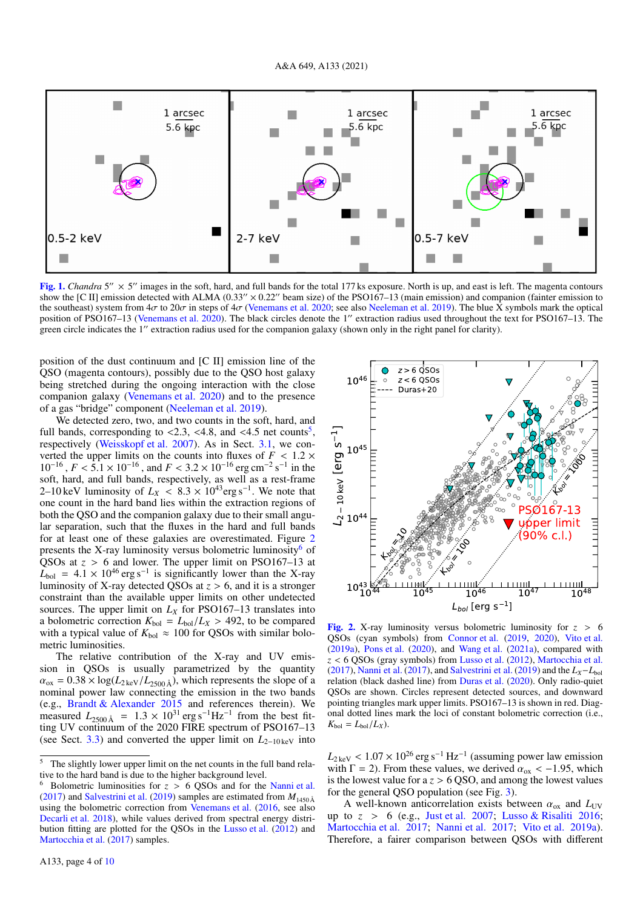

<span id="page-3-0"></span>[Fig. 1.](https://dexter.edpsciences.org/applet.php?DOI=10.1051/0004-6361/202140399&pdf_id=1) *Chandra* 5"  $\times$  5" images in the soft, hard, and full bands for the total 177 ks exposure. North is up, and east is left. The magenta contours show the [C II] emission detected with ALMA (0.33"  $\times$  0.22" beam size) of the PSO167–13 (main emission) and companion (fainter emission to the southeast) system from  $4\sigma$  to  $20\sigma$  in steps of  $4\sigma$  [\(Venemans et al.](#page-9-35) [2020;](#page-9-35) see also [Neeleman et al.](#page-9-15) [2019\)](#page-9-15). The blue X symbols mark the optical position of PSO167–13 [\(Venemans et al.](#page-9-35) [2020\)](#page-9-35). The black circles denote the 1" extraction radius used throughout the text for PSO167–13. The green circle indicates the 1" extraction radius used for the companion galaxy (shown only in the right panel for clarity).

position of the dust continuum and [C II] emission line of the QSO (magenta contours), possibly due to the QSO host galaxy being stretched during the ongoing interaction with the close companion galaxy [\(Venemans et al.](#page-9-35) [2020\)](#page-9-35) and to the presence of a gas "bridge" component [\(Neeleman et al.](#page-9-15) [2019\)](#page-9-15).

We detected zero, two, and two counts in the soft, hard, and full bands, corresponding to  $\langle 2.3, \langle 4.8, \text{ and } \langle 4.5 \text{ net counts}^5 \rangle$  $\langle 2.3, \langle 4.8, \text{ and } \langle 4.5 \text{ net counts}^5 \rangle$  $\langle 2.3, \langle 4.8, \text{ and } \langle 4.5 \text{ net counts}^5 \rangle$ <br>respectively (Weisskopf et al. 2007). As in Sect 3.1, we conrespectively [\(Weisskopf et al.](#page-9-53) [2007\)](#page-9-53). As in Sect. [3.1,](#page-2-5) we converted the upper limits on the counts into fluxes of  $F < 1.2 \times$  $10^{-16}$ ,  $F < 5.1 \times 10^{-16}$ , and  $F < 3.2 \times 10^{-16}$  erg cm<sup>-2</sup> s<sup>-1</sup> in the soft hard and full hands respectively as well as a rest-frame soft, hard, and full bands, respectively, as well as a rest-frame 2–10 keV luminosity of  $L_X < 8.3 \times 10^{43}$  erg s<sup>-1</sup>. We note that one count in the hard hand lies within the extraction regions of one count in the hard band lies within the extraction regions of both the QSO and the companion galaxy due to their small angular separation, such that the fluxes in the hard and full bands for at least one of these galaxies are overestimated. Figure [2](#page-3-2) presents the X-ray luminosity versus bolometric luminosity<sup>[6](#page-3-3)</sup> of QSOs at  $z > 6$  and lower. The upper limit on PSO167–13 at QSOs at  $z > 6$  and lower. The upper limit on PSO167–13 at  $I_{\text{hel}} = 4.1 \times 10^{46}$  erg s<sup>-1</sup> is significantly lower than the X-ray  $L_{bol}$  = 4.1 × 10<sup>46</sup> erg s<sup>-1</sup> is significantly lower than the X-ray<br>luminosity of X-ray detected OSOs at z > 6 and it is a stronger luminosity of X-ray detected QSOs at *<sup>z</sup>* > 6, and it is a stronger constraint than the available upper limits on other undetected sources. The upper limit on  $L_X$  for PSO167–13 translates into a bolometric correction  $K_{\text{bol}} = L_{\text{bol}}/L_X > 492$ , to be compared with a typical value of  $K_{\text{bol}} \approx 100$  for QSOs with similar bolometric luminosities.

The relative contribution of the X-ray and UV emission in QSOs is usually parametrized by the quantity  $\alpha_{ox} = 0.38 \times \log(L_{2\text{keV}}/L_{2500\text{Å}})$ , which represents the slope of a nominal power law connecting the emission in the two bands (e.g., [Brandt & Alexander](#page-8-6) [2015](#page-8-6) and references therein). We measured  $L_{2500\text{\AA}} = 1.3 \times 10^{31} \text{ erg s}^{-1} \text{Hz}^{-1}$  from the best fitting IIV continuum of the 2020 FIRE spectrum of PSO167–13 ting UV continuum of the 2020 FIRE spectrum of PSO167–13 (see Sect. [3.3\)](#page-4-0) and converted the upper limit on *L*2−10 keV into



<span id="page-3-2"></span>**[Fig. 2.](https://dexter.edpsciences.org/applet.php?DOI=10.1051/0004-6361/202140399&pdf_id=2)** X-ray luminosity versus bolometric luminosity for  $z > 6$ QSOs (cyan symbols) from [Connor et al.](#page-9-28) [\(2019,](#page-9-28) [2020\)](#page-9-29), [Vito et al.](#page-9-24) [\(2019a\)](#page-9-24), [Pons et al.](#page-9-61) [\(2020\)](#page-9-61), and [Wang et al.](#page-9-19) [\(2021a\)](#page-9-19), compared with *<sup>z</sup>* < 6 QSOs (gray symbols) from [Lusso et al.](#page-9-59) [\(2012\)](#page-9-59), [Martocchia et al.](#page-9-60) [\(2017\)](#page-9-23), [Nanni et al.](#page-9-23) (2017), and [Salvestrini et al.](#page-9-57) [\(2019\)](#page-9-57) and the  $L_X-L_{bol}$ relation (black dashed line) from [Duras et al.](#page-9-62) [\(2020\)](#page-9-62). Only radio-quiet QSOs are shown. Circles represent detected sources, and downward pointing triangles mark upper limits. PSO167–13 is shown in red. Diagonal dotted lines mark the loci of constant bolometric correction (i.e.,  $K_{\text{bol}} = L_{\text{bol}}/L_X$ .

 $L_{2 \text{ keV}} < 1.07 \times 10^{26}$  erg s<sup>-1</sup> Hz<sup>-1</sup> (assuming power law emission with  $\Gamma = 2$ ) From these values, we derived  $\alpha_{\text{ex}} < -1.95$  which with  $\Gamma = 2$ ). From these values, we derived  $\alpha_{ox} < -1.95$ , which is the lowest value for  $a \, z > 6$  QSO, and among the lowest values for the general QSO population (see Fig. [3\)](#page-4-1).

A well-known anticorrelation exists between  $\alpha_{ox}$  and  $L_{UV}$ up to  $z > 6$  (e.g., [Just et al.](#page-9-63) [2007;](#page-9-63) [Lusso & Risaliti](#page-9-64) [2016;](#page-9-64) [Martocchia et al.](#page-9-60) [2017;](#page-9-60) [Nanni et al.](#page-9-23) [2017;](#page-9-23) [Vito et al.](#page-9-24) [2019a\)](#page-9-24). Therefore, a fairer comparison between QSOs with different

<span id="page-3-1"></span><sup>&</sup>lt;sup>5</sup> The slightly lower upper limit on the net counts in the full band relative to the hard band is due to the higher background level.

<span id="page-3-3"></span><sup>&</sup>lt;sup>6</sup> Bolometric luminosities for  $z > 6$  QSOs and for the [Nanni et al.](#page-9-23) [\(2017\)](#page-9-23) and [Salvestrini et al.](#page-9-57) [\(2019\)](#page-9-57) samples are estimated from  $M_{1450\text{\AA}}$ using the bolometric correction from [Venemans et al.](#page-9-58) [\(2016,](#page-9-58) see also [Decarli et al.](#page-9-11) [2018\)](#page-9-11), while values derived from spectral energy distribution fitting are plotted for the QSOs in the [Lusso et al.](#page-9-59) [\(2012\)](#page-9-59) and [Martocchia et al.](#page-9-60) [\(2017\)](#page-9-60) samples.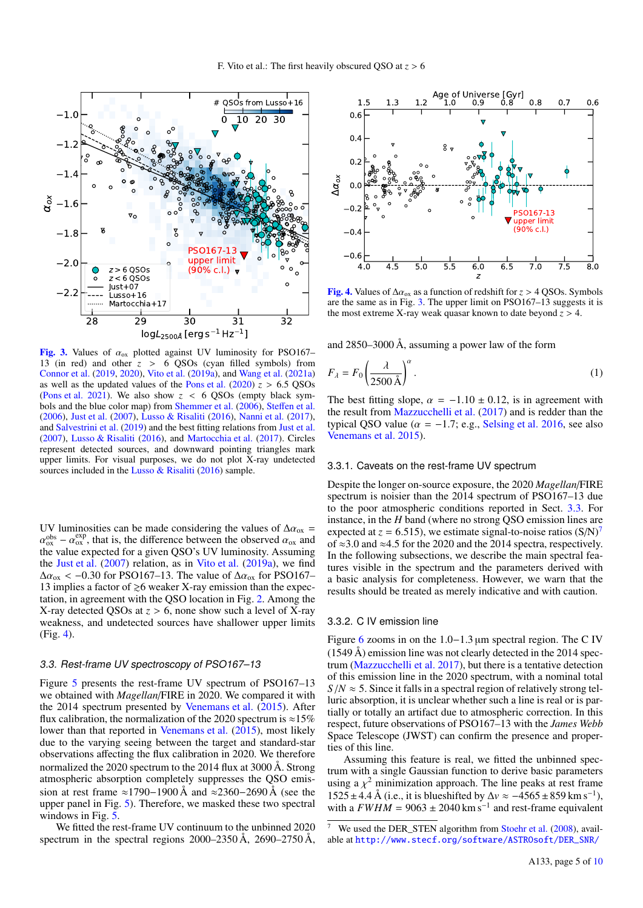

<span id="page-4-1"></span>[Fig. 3.](https://dexter.edpsciences.org/applet.php?DOI=10.1051/0004-6361/202140399&pdf_id=3) Values of  $\alpha_{ox}$  plotted against UV luminosity for PSO167– 13 (in red) and other  $z > 6$  QSOs (cyan filled symbols) from [Connor et al.](#page-9-28) [\(2019,](#page-9-28) [2020\)](#page-9-29), [Vito et al.](#page-9-24) [\(2019a\)](#page-9-24), and [Wang et al.](#page-9-19) [\(2021a\)](#page-9-19) as well as the updated values of the [Pons et al.](#page-9-61)  $(2020)$   $\overline{z} > 6.5$  QSOs [\(Pons et al.](#page-9-65) [2021\)](#page-9-65). We also show *<sup>z</sup>* < 6 QSOs (empty black symbols and the blue color map) from [Shemmer et al.](#page-9-66) [\(2006\)](#page-9-66), Steff[en et al.](#page-9-67) [\(2006\)](#page-9-67), [Just et al.](#page-9-63) [\(2007\)](#page-9-63), [Lusso & Risaliti](#page-9-64) [\(2016\)](#page-9-64), [Nanni et al.](#page-9-23) [\(2017\)](#page-9-23), and [Salvestrini et al.](#page-9-57) [\(2019\)](#page-9-57) and the best fitting relations from [Just et al.](#page-9-63) [\(2007\)](#page-9-63), [Lusso & Risaliti](#page-9-64) [\(2016\)](#page-9-64), and [Martocchia et al.](#page-9-60) [\(2017\)](#page-9-60). Circles represent detected sources, and downward pointing triangles mark upper limits. For visual purposes, we do not plot X-ray undetected sources included in the [Lusso & Risaliti](#page-9-64) [\(2016\)](#page-9-64) sample.

UV luminosities can be made considering the values of  $\Delta \alpha_{ox}$  = α the value expected for a given QSO's UV luminosity. Assuming  $\alpha_{\text{ox}}^{\text{obs}} - \alpha_{\text{ox}}^{\text{exp}}$ , that is, the difference between the observed  $\alpha_{\text{ox}}^{\text{ex}}$  and  $\alpha_{\text{B}}^{\text{ex}}$  and  $\alpha_{\text{B}}^{\text{ex}}$  and  $\alpha_{\text{B}}^{\text{ex}}$  and  $\alpha_{\text{B}}^{\text{ex}}$  and  $\alpha_{\text{B}}^{\text{ex}}$  and  $\alpha_{\text{B}}^{\text{ex}}$  the [Just et al.](#page-9-63) [\(2007\)](#page-9-63) relation, as in [Vito et al.](#page-9-24) [\(2019a\)](#page-9-24), we find  $\Delta \alpha_{ox}$  < −0.30 for PSO167–13. The value of  $\Delta \alpha_{ox}$  for PSO167– 13 implies a factor of  $\geq 6$  weaker X-ray emission than the expectation, in agreement with the QSO location in Fig. [2.](#page-3-2) Among the X-ray detected QSOs at *<sup>z</sup>* > 6, none show such a level of X-ray weakness, and undetected sources have shallower upper limits (Fig. [4\)](#page-4-2).

#### <span id="page-4-0"></span>3.3. Rest-frame UV spectroscopy of PSO167–13

Figure [5](#page-5-0) presents the rest-frame UV spectrum of PSO167–13 we obtained with *Magellan*/FIRE in 2020. We compared it with the 2014 spectrum presented by [Venemans et al.](#page-9-34) [\(2015\)](#page-9-34). After flux calibration, the normalization of the 2020 spectrum is  $\approx$ 15% lower than that reported in [Venemans et al.](#page-9-34) [\(2015\)](#page-9-34), most likely due to the varying seeing between the target and standard-star observations affecting the flux calibration in 2020. We therefore normalized the 2020 spectrum to the 2014 flux at 3000 Å. Strong atmospheric absorption completely suppresses the QSO emission at rest frame ≈1790−1900 Å and ≈2360−2690 Å (see the upper panel in Fig. [5\)](#page-5-0). Therefore, we masked these two spectral windows in Fig. [5.](#page-5-0)

We fitted the rest-frame UV continuum to the unbinned 2020 spectrum in the spectral regions 2000–2350 Å, 2690–2750 Å,



<span id="page-4-2"></span>[Fig. 4.](https://dexter.edpsciences.org/applet.php?DOI=10.1051/0004-6361/202140399&pdf_id=4) Values of  $\Delta \alpha_{ox}$  as a function of redshift for *z* > 4 QSOs. Symbols are the same as in Fig. [3.](#page-4-1) The upper limit on PSO167–13 suggests it is the most extreme X-ray weak quasar known to date beyond  $z > 4$ .

<span id="page-4-4"></span>and 2850–3000 Å, assuming a power law of the form

$$
F_{\lambda} = F_0 \left(\frac{\lambda}{2500 \,\text{\AA}}\right)^{\alpha} \,. \tag{1}
$$

The best fitting slope,  $\alpha = -1.10 \pm 0.12$ , is in agreement with the result from [Mazzucchelli et al.](#page-9-22) [\(2017\)](#page-9-22) and is redder than the typical QSO value ( $\alpha = -1.7$ ; e.g., [Selsing et al.](#page-9-68) [2016,](#page-9-68) see also [Venemans et al.](#page-9-34) [2015\)](#page-9-34).

#### 3.3.1. Caveats on the rest-frame UV spectrum

Despite the longer on-source exposure, the 2020 *Magellan*/FIRE spectrum is noisier than the 2014 spectrum of PSO167–13 due to the poor atmospheric conditions reported in Sect. [3.3.](#page-4-0) For instance, in the *H* band (where no strong QSO emission lines are expected at  $z = 6.515$ ), we estimate signal-to-noise ratios  $(S/N)^7$  $(S/N)^7$ of <sup>≈</sup>3.0 and <sup>≈</sup>4.5 for the 2020 and the 2014 spectra, respectively. In the following subsections, we describe the main spectral features visible in the spectrum and the parameters derived with a basic analysis for completeness. However, we warn that the results should be treated as merely indicative and with caution.

## 3.3.2. C IV emission line

Figure [6](#page-6-0) zooms in on the 1.0−1.<sup>3</sup> <sup>µ</sup>m spectral region. The C IV (1549 Å) emission line was not clearly detected in the 2014 spectrum [\(Mazzucchelli et al.](#page-9-22) [2017\)](#page-9-22), but there is a tentative detection of this emission line in the 2020 spectrum, with a nominal total  $S/N \approx 5$ . Since it falls in a spectral region of relatively strong telluric absorption, it is unclear whether such a line is real or is partially or totally an artifact due to atmospheric correction. In this respect, future observations of PSO167–13 with the *James Webb* Space Telescope (JWST) can confirm the presence and properties of this line.

Assuming this feature is real, we fitted the unbinned spectrum with a single Gaussian function to derive basic parameters using a  $\chi^2$  minimization approach. The line peaks at rest frame<br>1525 + 4.4 Å (i.e., it is blueshifted by  $\Delta v \approx -4565 + 859$  km s<sup>-1</sup>)  $1525 \pm 4.4 \text{ Å}$  (i.e., it is blueshifted by  $\Delta v \approx -4565 \pm 859 \text{ km s}^{-1}$ ),<br>with a  $FWHM = 9063 + 2040 \text{ km s}^{-1}$  and rest-frame equivalent with a  $FWHM = 9063 \pm 2040$  km s<sup>-1</sup> and rest-frame equivalent

<span id="page-4-3"></span>We used the DER\_STEN algorithm from [Stoehr et al.](#page-9-69) [\(2008\)](#page-9-69), available at [http://www.stecf.org/software/ASTROsoft/DER\\_SNR/](http://www.stecf.org/software/ASTROsoft/DER_SNR/)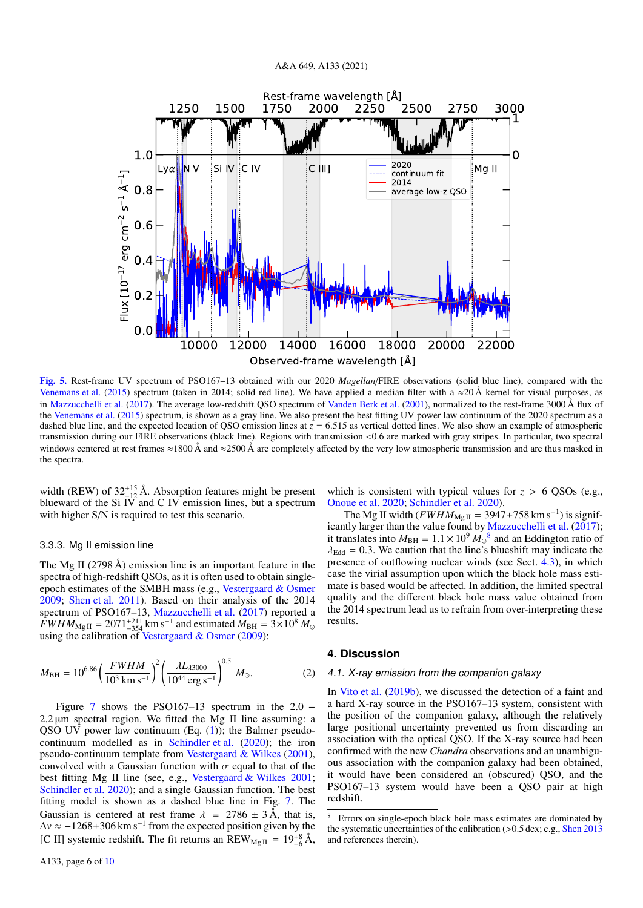

<span id="page-5-0"></span>[Fig. 5.](https://dexter.edpsciences.org/applet.php?DOI=10.1051/0004-6361/202140399&pdf_id=5) Rest-frame UV spectrum of PSO167–13 obtained with our 2020 *Magellan*/FIRE observations (solid blue line), compared with the [Venemans et al.](#page-9-34) [\(2015\)](#page-9-34) spectrum (taken in 2014; solid red line). We have applied a median filter with a  $\approx$ 20 Å kernel for visual purposes, as in [Mazzucchelli et al.](#page-9-22) [\(2017\)](#page-9-22). The average low-redshift QSO spectrum of [Vanden Berk et al.](#page-9-70) [\(2001\)](#page-9-70), normalized to the rest-frame 3000 Å flux of the [Venemans et al.](#page-9-34) [\(2015\)](#page-9-34) spectrum, is shown as a gray line. We also present the best fitting UV power law continuum of the 2020 spectrum as a dashed blue line, and the expected location of QSO emission lines at  $z = 6.515$  as vertical dotted lines. We also show an example of atmospheric transmission during our FIRE observations (black line). Regions with transmission <0.6 are marked with gray stripes. In particular, two spectral windows centered at rest frames  $\approx$ 1800 Å and  $\approx$ 2500 Å are completely affected by the very low atmospheric transmission and are thus masked in the spectra.

width (REW) of  $32^{+15}_{-12}$  Å. Absorption features might be present blueward of the Si IV and C IV emission lines, but a spectrum with higher S/N is required to test this scenario.

#### 3.3.3. Mg II emission line

The Mg II (2798 Å) emission line is an important feature in the spectra of high-redshift QSOs, as it is often used to obtain singleepoch estimates of the SMBH mass (e.g., [Vestergaard & Osmer](#page-9-71) [2009;](#page-9-71) [Shen et al.](#page-9-72) [2011\)](#page-9-72). Based on their analysis of the 2014 spectrum of PSO167–13, [Mazzucchelli et al.](#page-9-22) [\(2017\)](#page-9-22) reported a  $\hat{FWHM}_{\text{Mg II}} = 2071^{+211}_{-354}$  km s<sup>-1</sup> and estimated  $M_{\text{BH}} = 3 \times 10^8$   $M_{\odot}$ using the calibration of [Vestergaard & Osmer](#page-9-71) [\(2009\)](#page-9-71):

$$
M_{\rm BH} = 10^{6.86} \left(\frac{FWHM}{10^3 \,\rm km\,s^{-1}}\right)^2 \left(\frac{\lambda L_{\lambda 3000}}{10^{44} \,\rm erg\,s^{-1}}\right)^{0.5} M_{\odot}.\tag{2}
$$

Figure [7](#page-6-1) shows the PSO167–13 spectrum in the  $2.0 2.2 \mu m$  spectral region. We fitted the Mg II line assuming: a QSO UV power law continuum  $(Eq. (1))$  $(Eq. (1))$  $(Eq. (1))$ ; the Balmer pseudocontinuum modelled as in [Schindler et al.](#page-9-18) [\(2020\)](#page-9-18); the iron pseudo-continuum template from [Vestergaard & Wilkes](#page-9-73) [\(2001\)](#page-9-73), convolved with a Gaussian function with  $\sigma$  equal to that of the best fitting Mg II line (see, e.g., [Vestergaard & Wilkes](#page-9-73) [2001;](#page-9-73) [Schindler et al.](#page-9-18) [2020\)](#page-9-18); and a single Gaussian function. The best fitting model is shown as a dashed blue line in Fig. [7.](#page-6-1) The Gaussian is centered at rest frame  $\lambda$  = 2786  $\pm$  3 Å, that is,  $\Delta v \approx -1268 \pm 306$  km s<sup>-1</sup> from the expected position given by the [C II] systemic redshift. The fit returns an  $REW_{MgII} = 19^{+8}_{-6} \text{Å}$ ,

which is consistent with typical values for  $z > 6$  QSOs (e.g., [Onoue et al.](#page-9-74) [2020;](#page-9-74) [Schindler et al.](#page-9-18) [2020\)](#page-9-18).

The Mg II width ( $FWHM_{\text{Mg II}} = 3947 \pm 758 \text{ km s}^{-1}$ ) is signif-icantly larger than the value found by [Mazzucchelli et al.](#page-9-22) [\(2017\)](#page-9-22); it translates into  $M_{\text{BH}} = 1.1 \times 10^9 M_{\odot}^{-8}$  $M_{\text{BH}} = 1.1 \times 10^9 M_{\odot}^{-8}$  $M_{\text{BH}} = 1.1 \times 10^9 M_{\odot}^{-8}$  and an Eddington ratio of  $\lambda_{\text{Edd}} = 0.3$ . We caution that the line's blueshift may indicate the  $\lambda_{\text{Edd}} = 0.3$ . We caution that the line's blueshift may indicate the presence of outflowing nuclear winds (see Sect. [4.3\)](#page-7-0), in which case the virial assumption upon which the black hole mass estimate is based would be affected. In addition, the limited spectral quality and the different black hole mass value obtained from the 2014 spectrum lead us to refrain from over-interpreting these results.

# **4. Discussion**

#### 4.1. X-ray emission from the companion galaxy

In [Vito et al.](#page-9-33) [\(2019b\)](#page-9-33), we discussed the detection of a faint and a hard X-ray source in the PSO167–13 system, consistent with the position of the companion galaxy, although the relatively large positional uncertainty prevented us from discarding an association with the optical QSO. If the X-ray source had been confirmed with the new *Chandra* observations and an unambiguous association with the companion galaxy had been obtained, it would have been considered an (obscured) QSO, and the PSO167–13 system would have been a QSO pair at high redshift.

<span id="page-5-1"></span>Errors on single-epoch black hole mass estimates are dominated by the systematic uncertainties of the calibration (>0.5 dex; e.g., [Shen](#page-9-75) [2013](#page-9-75) and references therein).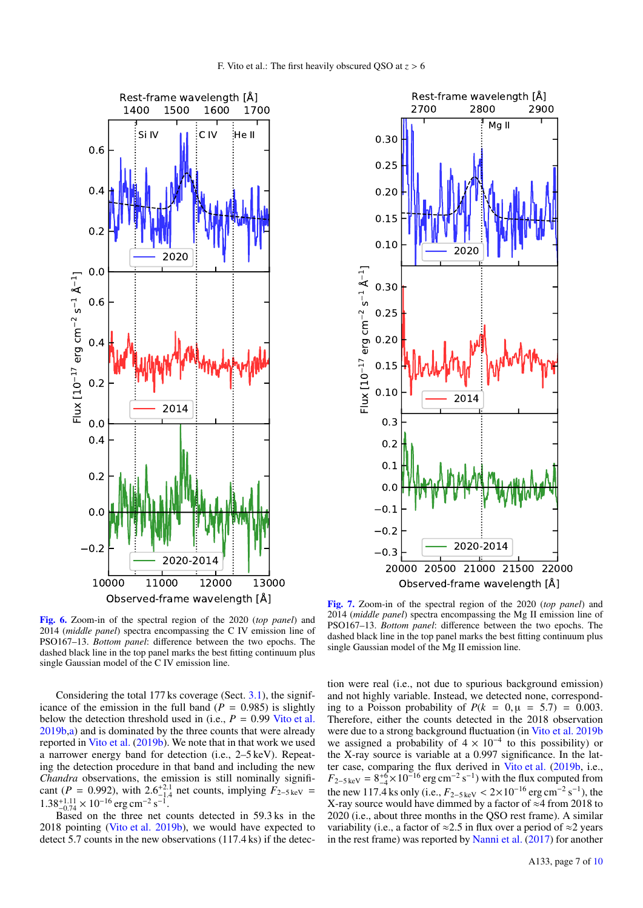



<span id="page-6-0"></span>[Fig. 6.](https://dexter.edpsciences.org/applet.php?DOI=10.1051/0004-6361/202140399&pdf_id=6) Zoom-in of the spectral region of the 2020 (*top panel*) and 2014 (*middle panel*) spectra encompassing the C IV emission line of PSO167–13. *Bottom panel*: difference between the two epochs. The dashed black line in the top panel marks the best fitting continuum plus single Gaussian model of the C IV emission line.

Considering the total 177 ks coverage (Sect. [3.1\)](#page-2-5), the significance of the emission in the full band  $(P = 0.985)$  is slightly below the detection threshold used in (i.e.,  $P = 0.99$  [Vito et al.](#page-9-33) [2019b](#page-9-33)[,a\)](#page-9-24) and is dominated by the three counts that were already reported in [Vito et al.](#page-9-33) [\(2019b\)](#page-9-33). We note that in that work we used a narrower energy band for detection (i.e., 2–5 keV). Repeating the detection procedure in that band and including the new *Chandra* observations, the emission is still nominally significant (*P* = 0.992), with 2.6<sup>+2.1</sup> net counts, implying  $\vec{F}_{2-5\,\text{keV}}$  = 1.48<sup>+1.11</sup>  $\times$  10<sup>-16</sup> erg cm<sup>-2</sup> s<sup>-1</sup>  $1.38^{+1.11}_{-0.74} \times 10^{-16}$  erg cm<sup>-2</sup> s<sup>-1</sup>.<br>Based on the three net c

Based on the three net counts detected in 59.3 ks in the 2018 pointing [\(Vito et al.](#page-9-33) [2019b\)](#page-9-33), we would have expected to detect 5.7 counts in the new observations (117.4 ks) if the detec-

<span id="page-6-1"></span>[Fig. 7.](https://dexter.edpsciences.org/applet.php?DOI=10.1051/0004-6361/202140399&pdf_id=7) Zoom-in of the spectral region of the 2020 (*top panel*) and 2014 (*middle panel*) spectra encompassing the Mg II emission line of PSO167–13. *Bottom panel*: difference between the two epochs. The dashed black line in the top panel marks the best fitting continuum plus single Gaussian model of the Mg II emission line.

tion were real (i.e., not due to spurious background emission) and not highly variable. Instead, we detected none, corresponding to a Poisson probability of  $P(k = 0, \mu = 5.7) = 0.003$ . Therefore, either the counts detected in the 2018 observation were due to a strong background fluctuation (in [Vito et al.](#page-9-33) [2019b](#page-9-33) we assigned a probability of  $4 \times 10^{-4}$  to this possibility) or the X-ray source is variable at a 0.997 significance. In the latter case, comparing the flux derived in [Vito et al.](#page-9-33) [\(2019b,](#page-9-33) i.e.,  $F_{2-5\,\text{keV}} = 8^{+6}_{-4} \times 10^{-16} \text{ erg cm}^{-2} \text{ s}^{-1}$ ) with the flux computed from the new 117.4 ks only (i.e.,  $F_{2-5\,\text{keV}} < 2 \times 10^{-16} \text{ erg cm}^{-2} \text{ s}^{-1}$ ), the X-ray source would have dimmed by a factor of  $\approx 4$  from 2018 to X-ray source would have dimmed by a factor of ≈4 from 2018 to 2020 (i.e., about three months in the QSO rest frame). A similar variability (i.e., a factor of  $\approx 2.5$  in flux over a period of  $\approx 2$  years in the rest frame) was reported by [Nanni et al.](#page-9-23) [\(2017\)](#page-9-23) for another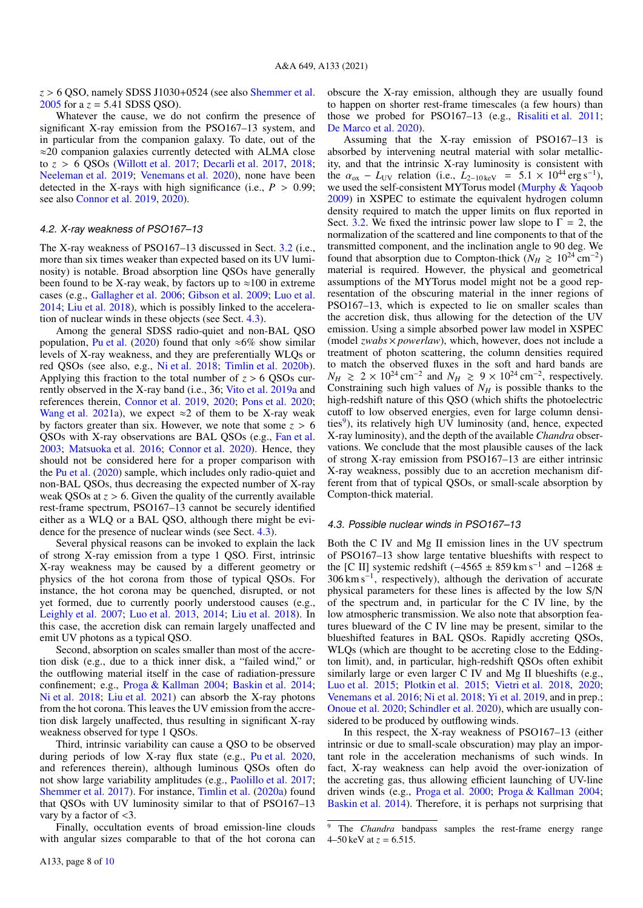*<sup>z</sup>* > 6 QSO, namely SDSS J1030+0524 (see also [Shemmer et al.](#page-9-76) [2005](#page-9-76) for a  $z = 5.41$  SDSS QSO).

Whatever the cause, we do not confirm the presence of significant X-ray emission from the PSO167–13 system, and in particular from the companion galaxy. To date, out of the ≈20 companion galaxies currently detected with ALMA close to *<sup>z</sup>* > 6 QSOs [\(Willott et al.](#page-9-38) [2017;](#page-9-38) [Decarli et al.](#page-9-77) [2017,](#page-9-77) [2018;](#page-9-11) [Neeleman et al.](#page-9-15) [2019;](#page-9-15) [Venemans et al.](#page-9-35) [2020\)](#page-9-35), none have been detected in the X-rays with high significance (i.e.,  $P > 0.99$ ; see also [Connor et al.](#page-9-28) [2019,](#page-9-28) [2020\)](#page-9-29).

#### 4.2. X-ray weakness of PSO167–13

The X-ray weakness of PSO167–13 discussed in Sect. [3.2](#page-2-6) (i.e., more than six times weaker than expected based on its UV luminosity) is notable. Broad absorption line QSOs have generally been found to be X-ray weak, by factors up to  $\approx 100$  in extreme cases (e.g., [Gallagher et al.](#page-9-78) [2006;](#page-9-78) [Gibson et al.](#page-9-79) [2009;](#page-9-79) [Luo et al.](#page-9-40) [2014;](#page-9-40) [Liu et al.](#page-9-80) [2018\)](#page-9-80), which is possibly linked to the acceleration of nuclear winds in these objects (see Sect. [4.3\)](#page-7-0).

Among the general SDSS radio-quiet and non-BAL QSO population, [Pu et al.](#page-9-44) [\(2020\)](#page-9-44) found that only  $\approx 6\%$  show similar levels of X-ray weakness, and they are preferentially WLQs or red QSOs (see also, e.g., [Ni et al.](#page-9-43) [2018;](#page-9-43) [Timlin et al.](#page-9-81) [2020b\)](#page-9-81). Applying this fraction to the total number of  $z > 6$  OSOs currently observed in the X-ray band (i.e., 36; [Vito et al.](#page-9-24) [2019a](#page-9-24) and references therein, [Connor et al.](#page-9-28) [2019,](#page-9-28) [2020;](#page-9-29) [Pons et al.](#page-9-61) [2020;](#page-9-61) [Wang et al.](#page-9-19) [2021a\)](#page-9-19), we expect  $\approx$  2 of them to be X-ray weak by factors greater than six. However, we note that some  $z > 6$ QSOs with X-ray observations are BAL QSOs (e.g., [Fan et al.](#page-9-82) [2003;](#page-9-82) [Matsuoka et al.](#page-9-83) [2016;](#page-9-83) [Connor et al.](#page-9-29) [2020\)](#page-9-29). Hence, they should not be considered here for a proper comparison with the [Pu et al.](#page-9-44) [\(2020\)](#page-9-44) sample, which includes only radio-quiet and non-BAL QSOs, thus decreasing the expected number of X-ray weak OSOs at  $z > 6$ . Given the quality of the currently available rest-frame spectrum, PSO167–13 cannot be securely identified either as a WLQ or a BAL QSO, although there might be evidence for the presence of nuclear winds (see Sect. [4.3\)](#page-7-0).

Several physical reasons can be invoked to explain the lack of strong X-ray emission from a type 1 QSO. First, intrinsic X-ray weakness may be caused by a different geometry or physics of the hot corona from those of typical QSOs. For instance, the hot corona may be quenched, disrupted, or not yet formed, due to currently poorly understood causes (e.g., [Leighly et al.](#page-9-84) [2007;](#page-9-84) [Luo et al.](#page-9-85) [2013,](#page-9-85) [2014;](#page-9-40) [Liu et al.](#page-9-80) [2018\)](#page-9-80). In this case, the accretion disk can remain largely unaffected and emit UV photons as a typical QSO.

Second, absorption on scales smaller than most of the accretion disk (e.g., due to a thick inner disk, a "failed wind," or the outflowing material itself in the case of radiation-pressure confinement; e.g., [Proga & Kallman](#page-9-86) [2004;](#page-9-86) [Baskin et al.](#page-8-7) [2014;](#page-8-7) [Ni et al.](#page-9-43) [2018;](#page-9-43) [Liu et al.](#page-9-87) [2021\)](#page-9-87) can absorb the X-ray photons from the hot corona. This leaves the UV emission from the accretion disk largely unaffected, thus resulting in significant X-ray weakness observed for type 1 QSOs.

Third, intrinsic variability can cause a QSO to be observed during periods of low X-ray flux state (e.g., [Pu et al.](#page-9-44) [2020,](#page-9-44) and references therein), although luminous QSOs often do not show large variability amplitudes (e.g., [Paolillo et al.](#page-9-88) [2017;](#page-9-88) [Shemmer et al.](#page-9-89) [2017\)](#page-9-89). For instance, [Timlin et al.](#page-9-90) [\(2020a\)](#page-9-90) found that QSOs with UV luminosity similar to that of PSO167–13 vary by a factor of <3.

Finally, occultation events of broad emission-line clouds with angular sizes comparable to that of the hot corona can obscure the X-ray emission, although they are usually found to happen on shorter rest-frame timescales (a few hours) than those we probed for PSO167–13 (e.g., [Risaliti et al.](#page-9-91) [2011;](#page-9-91) [De Marco et al.](#page-9-92) [2020\)](#page-9-92).

Assuming that the X-ray emission of PSO167–13 is absorbed by intervening neutral material with solar metallicity, and that the intrinsic X-ray luminosity is consistent with the  $\alpha_{ox} - L_{UV}$  relation (i.e.,  $L_{2-10 \text{ keV}} = 5.1 \times 10^{44} \text{ erg s}^{-1}$ ), we used the self-consistent MYTorus model (Murphy & Yagoob we used the self-consistent MYTorus model [\(Murphy & Yaqoob](#page-9-93) [2009\)](#page-9-93) in XSPEC to estimate the equivalent hydrogen column density required to match the upper limits on flux reported in Sect. [3.2.](#page-2-6) We fixed the intrinsic power law slope to  $\Gamma = 2$ , the normalization of the scattered and line components to that of the transmitted component, and the inclination angle to 90 deg. We found that absorption due to Compton-thick ( $N_H \ge 10^{24}$  cm<sup>-2</sup>) material is required. However, the physical and geometrical assumptions of the MYTorus model might not be a good representation of the obscuring material in the inner regions of PSO167–13, which is expected to lie on smaller scales than the accretion disk, thus allowing for the detection of the UV emission. Using a simple absorbed power law model in XSPEC (model *zwabs* × *powerlaw*), which, however, does not include a treatment of photon scattering, the column densities required to match the observed fluxes in the soft and hard bands are  $N_H \ge 2 \times 10^{24} \text{ cm}^{-2}$  and  $N_H \ge 9 \times 10^{24} \text{ cm}^{-2}$ , respectively. Constraining such high values of  $N_H$  is possible thanks to the high-redshift nature of this QSO (which shifts the photoelectric cutoff to low observed energies, even for large column densi-ties<sup>[9](#page-7-1)</sup>), its relatively high UV luminosity (and, hence, expected X-ray luminosity), and the depth of the available *Chandra* observations. We conclude that the most plausible causes of the lack of strong X-ray emission from PSO167–13 are either intrinsic X-ray weakness, possibly due to an accretion mechanism different from that of typical QSOs, or small-scale absorption by Compton-thick material.

## <span id="page-7-0"></span>4.3. Possible nuclear winds in PSO167–13

Both the C IV and Mg II emission lines in the UV spectrum of PSO167–13 show large tentative blueshifts with respect to the [C II] systemic redshift ( $-4565 \pm 859$  km s<sup>-1</sup> and  $-1268 \pm$  $306 \text{ km s}^{-1}$ , respectively), although the derivation of accurate physical parameters for these lines is affected by the low S/N of the spectrum and, in particular for the C IV line, by the low atmospheric transmission. We also note that absorption features blueward of the C IV line may be present, similar to the blueshifted features in BAL QSOs. Rapidly accreting QSOs, WLQs (which are thought to be accreting close to the Eddington limit), and, in particular, high-redshift QSOs often exhibit similarly large or even larger C IV and Mg II blueshifts (e.g., [Luo et al.](#page-9-42) [2015;](#page-9-42) [Plotkin et al.](#page-9-94) [2015;](#page-9-94) [Vietri et al.](#page-9-95) [2018,](#page-9-95) [2020;](#page-9-96) [Venemans et al.](#page-9-58) [2016;](#page-9-58) [Ni et al.](#page-9-43) [2018;](#page-9-43) [Yi et al.](#page-9-97) [2019,](#page-9-97) and in prep.; [Onoue et al.](#page-9-74) [2020;](#page-9-74) [Schindler et al.](#page-9-18) [2020\)](#page-9-18), which are usually considered to be produced by outflowing winds.

In this respect, the X-ray weakness of PSO167–13 (either intrinsic or due to small-scale obscuration) may play an important role in the acceleration mechanisms of such winds. In fact, X-ray weakness can help avoid the over-ionization of the accreting gas, thus allowing efficient launching of UV-line driven winds (e.g., [Proga et al.](#page-9-98) [2000;](#page-9-98) [Proga & Kallman](#page-9-86) [2004;](#page-9-86) [Baskin et al.](#page-8-7) [2014\)](#page-8-7). Therefore, it is perhaps not surprising that

<span id="page-7-1"></span>The *Chandra* bandpass samples the rest-frame energy range 4–50 keV at  $z = 6.515$ .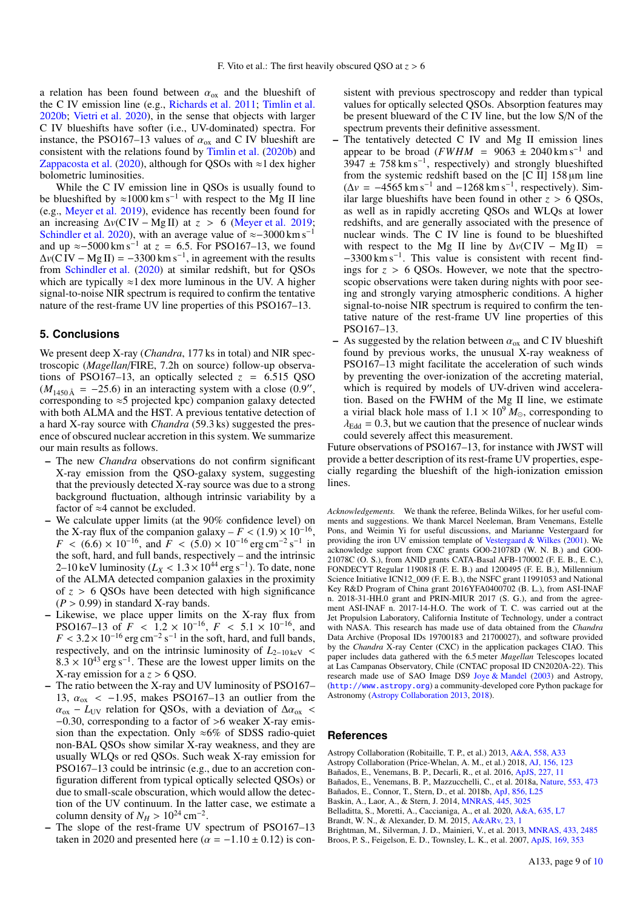a relation has been found between  $\alpha_{ox}$  and the blueshift of the C IV emission line (e.g., [Richards et al.](#page-9-99) [2011;](#page-9-99) [Timlin et al.](#page-9-81) [2020b;](#page-9-81) [Vietri et al.](#page-9-96) [2020\)](#page-9-96), in the sense that objects with larger C IV blueshifts have softer (i.e., UV-dominated) spectra. For instance, the PSO167–13 values of  $\alpha_{ox}$  and C IV blueshift are consistent with the relations found by [Timlin et al.](#page-9-81) [\(2020b\)](#page-9-81) and [Zappacosta et al.](#page-9-100) [\(2020\)](#page-9-100), although for QSOs with  $\approx$ 1 dex higher bolometric luminosities.

While the C IV emission line in OSOs is usually found to be blueshifted by  $\approx 1000 \text{ km s}^{-1}$  with respect to the Mg II line (e.g., [Meyer et al.](#page-9-26) [2019\)](#page-9-26), evidence has recently been found for an increasing  $\Delta v$ (C IV – Mg II) at  $z > 6$  [\(Meyer et al.](#page-9-26) [2019;](#page-9-26) [Schindler et al.](#page-9-18) [2020\)](#page-9-18), with an average value of  $\approx$ −3000 km s<sup>-1</sup> and up  $\approx$ −5000 km s<sup>-1</sup> at  $z = 6.5$ . For PSO167–13, we found  $\Delta v$ (C IV – Mg II) = −3300 km s<sup>-1</sup> in agreement with the results  $\Delta v$ (C IV – Mg II) = -3300 km s<sup>-1</sup>, in agreement with the results from [Schindler et al.](#page-9-18) [\(2020\)](#page-9-18) at similar redshift, but for QSOs which are typically  $\approx$ 1 dex more luminous in the UV. A higher signal-to-noise NIR spectrum is required to confirm the tentative nature of the rest-frame UV line properties of this PSO167–13.

## **5. Conclusions**

We present deep X-ray (*Chandra*, 177 ks in total) and NIR spectroscopic (*Magellan*/FIRE, 7.2h on source) follow-up observations of PSO167–13, an optically selected  $z = 6.515$  QSO  $(M_{1450 \text{Å}} = -25.6)$  in an interacting system with a close  $(0.9)$ , corresponding to  $\approx$  5 projected kpc) companion galaxy detected corresponding to  $\approx$ 5 projected kpc) companion galaxy detected with both ALMA and the HST. A previous tentative detection of a hard X-ray source with *Chandra* (59.3 ks) suggested the presence of obscured nuclear accretion in this system. We summarize our main results as follows.

- The new *Chandra* observations do not confirm significant X-ray emission from the QSO-galaxy system, suggesting that the previously detected X-ray source was due to a strong background fluctuation, although intrinsic variability by a factor of ≈4 cannot be excluded.
- We calculate upper limits (at the 90% confidence level) on the X-ray flux of the companion galaxy –  $F < (1.9) \times 10^{-16}$ ,<br> $F < (6.6) \times 10^{-16}$  and  $F < (5.0) \times 10^{-16}$  erg cm<sup>-2</sup> s<sup>-1</sup> in  $F < (6.6) \times 10^{-16}$ , and  $F < (5.0) \times 10^{-16}$  erg cm<sup>-2</sup> s<sup>-1</sup> in<br>the soft hard and full bands respectively – and the intrinsic the soft, hard, and full bands, respectively – and the intrinsic 2–10 keV luminosity  $(L_X < 1.3 \times 10^{44} \text{ erg s}^{-1})$ . To date, none of the ALMA detected companion galaxies in the proximity of the ALMA detected companion galaxies in the proximity of *<sup>z</sup>* > 6 QSOs have been detected with high significance  $(P > 0.99)$  in standard X-ray bands.
- Likewise, we place upper limits on the X-ray flux from PSO167–13 of  $F < 1.2 \times 10^{-16}$ ,  $F < 5.1 \times 10^{-16}$ , and  $F < 3.2 \times 10^{-16}$  erg cm<sup>-2</sup> s<sup>-1</sup> in the soft hard and full hands  $F < 3.2 \times 10^{-16}$  erg cm<sup>-2</sup> s<sup>-1</sup> in the soft, hard, and full bands, respectively and on the intrinsic luminosity of  $L_2$  10by respectively, and on the intrinsic luminosity of  $L_{2-10 \text{ keV}}$  <  $8.3 \times 10^{43}$  erg s<sup>-1</sup>. These are the lowest upper limits on the X-ray emission for a z > 6.0SO X-ray emission for a *<sup>z</sup>* > 6 QSO.
- The ratio between the X-ray and UV luminosity of PSO167– 13,  $\alpha_{ox}$  < -1.95, makes PSO167-13 an outlier from the  $\alpha_{ox}$  – *L*<sub>UV</sub> relation for QSOs, with a deviation of  $\Delta \alpha_{ox}$  < <sup>−</sup>0.30, corresponding to a factor of >6 weaker X-ray emission than the expectation. Only  $\approx 6\%$  of SDSS radio-quiet non-BAL QSOs show similar X-ray weakness, and they are usually WLQs or red QSOs. Such weak X-ray emission for PSO167–13 could be intrinsic (e.g., due to an accretion configuration different from typical optically selected QSOs) or due to small-scale obscuration, which would allow the detection of the UV continuum. In the latter case, we estimate a column density of  $N_H > 10^{24}$  cm<sup>-2</sup>.<br>The slope of the rest-frame IIV s
- The slope of the rest-frame UV spectrum of PSO167-13 taken in 2020 and presented here ( $\alpha = -1.10 \pm 0.12$ ) is con-

sistent with previous spectroscopy and redder than typical values for optically selected QSOs. Absorption features may be present blueward of the C IV line, but the low S/N of the spectrum prevents their definitive assessment.

- The tentatively detected C IV and Mg II emission lines appear to be broad ( $FWHM = 9063 \pm 2040$  km s<sup>-1</sup> and  $3947 \pm 758 \text{ km s}^{-1}$ , respectively) and strongly blueshifted from the systemic redshift based on the  $[C II]$  158  $\mu$ m line  $(\Delta v = -4565 \text{ km s}^{-1} \text{ and } -1268 \text{ km s}^{-1}, \text{ respectively}).$  Similar large blueshifts have been found in other  $z > 6$  QSOs, as well as in rapidly accreting QSOs and WLQs at lower redshifts, and are generally associated with the presence of nuclear winds. The C IV line is found to be blueshifted with respect to the Mg II line by  $\Delta v$ (C IV – Mg II) = −3300 km s−<sup>1</sup> . This value is consistent with recent findings for  $z > 6$  QSOs. However, we note that the spectroscopic observations were taken during nights with poor seeing and strongly varying atmospheric conditions. A higher signal-to-noise NIR spectrum is required to confirm the tentative nature of the rest-frame UV line properties of this PSO167–13.
- As suggested by the relation between  $\alpha_{ox}$  and C IV blueshift found by previous works, the unusual X-ray weakness of PSO167–13 might facilitate the acceleration of such winds by preventing the over-ionization of the accreting material, which is required by models of UV-driven wind acceleration. Based on the FWHM of the Mg II line, we estimate a virial black hole mass of  $1.1 \times 10^9 M_{\odot}$ , corresponding to  $\lambda_{\text{Edd}} = 0.3$ , but we caution that the presence of nuclear winds could severely affect this measurement.

Future observations of PSO167–13, for instance with JWST will provide a better description of its rest-frame UV properties, especially regarding the blueshift of the high-ionization emission lines.

*Acknowledgements.* We thank the referee, Belinda Wilkes, for her useful comments and suggestions. We thank Marcel Neeleman, Bram Venemans, Estelle Pons, and Weimin Yi for useful discussions, and Marianne Vestergaard for providing the iron UV emission template of [Vestergaard & Wilkes](#page-9-73) [\(2001\)](#page-9-73). We acknowledge support from CXC grants GO0-21078D (W. N. B.) and GO0- 21078C (O. S.), from ANID grants CATA-Basal AFB-170002 (F. E. B., E. C.), FONDECYT Regular 1190818 (F. E. B.) and 1200495 (F. E. B.), Millennium Science Initiative ICN12\_009 (F. E. B.), the NSFC grant 11991053 and National Key R&D Program of China grant 2016YFA0400702 (B. L.), from ASI-INAF n. 2018-31-HH.0 grant and PRIN-MIUR 2017 (S. G.), and from the agreement ASI-INAF n. 2017-14-H.O. The work of T. C. was carried out at the Jet Propulsion Laboratory, California Institute of Technology, under a contract with NASA. This research has made use of data obtained from the *Chandra* Data Archive (Proposal IDs 19700183 and 21700027), and software provided by the *Chandra* X-ray Center (CXC) in the application packages CIAO. This paper includes data gathered with the 6.5 meter *Magellan* Telescopes located at Las Campanas Observatory, Chile (CNTAC proposal ID CN2020A-22). This research made use of SAO Image DS9 [Joye & Mandel](#page-9-101) [\(2003\)](#page-9-101) and Astropy, (<http://www.astropy.org>) a community-developed core Python package for Astronomy [\(Astropy Collaboration](#page-8-8) [2013,](#page-8-8) [2018\)](#page-8-9).

## **References**

<span id="page-8-9"></span><span id="page-8-8"></span>Astropy Collaboration (Robitaille, T. P., et al.) 2013, [A&A, 558, A33](http://linker.aanda.org/10.1051/0004-6361/202140399/1) Astropy Collaboration (Price-Whelan, A. M., et al.) 2018, [AJ, 156, 123](http://linker.aanda.org/10.1051/0004-6361/202140399/2)

<span id="page-8-0"></span>Bañados, E., Venemans, B. P., Decarli, R., et al. 2016, [ApJS, 227, 11](http://linker.aanda.org/10.1051/0004-6361/202140399/3)

<span id="page-8-5"></span>Bañados, E., Venemans, B. P., Mazzucchelli, C., et al. 2018a, [Nature, 553, 473](http://linker.aanda.org/10.1051/0004-6361/202140399/4)

<span id="page-8-1"></span>Bañados, E., Connor, T., Stern, D., et al. 2018b, [ApJ, 856, L25](http://linker.aanda.org/10.1051/0004-6361/202140399/5)

<span id="page-8-7"></span>Baskin, A., Laor, A., & Stern, J. 2014, [MNRAS, 445, 3025](http://linker.aanda.org/10.1051/0004-6361/202140399/6)

<span id="page-8-2"></span>Belladitta, S., Moretti, A., Caccianiga, A., et al. 2020, [A&A, 635, L7](http://linker.aanda.org/10.1051/0004-6361/202140399/7)

<span id="page-8-6"></span>Brandt, W. N., & Alexander, D. M. 2015, [A&ARv, 23, 1](http://linker.aanda.org/10.1051/0004-6361/202140399/8)

<span id="page-8-4"></span><span id="page-8-3"></span>Brightman, M., Silverman, J. D., Mainieri, V., et al. 2013, [MNRAS, 433, 2485](http://linker.aanda.org/10.1051/0004-6361/202140399/9) Broos, P. S., Feigelson, E. D., Townsley, L. K., et al. 2007, [ApJS, 169, 353](http://linker.aanda.org/10.1051/0004-6361/202140399/10)